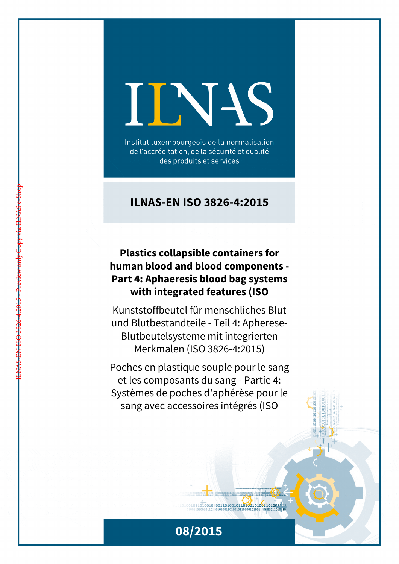# IINIS

Institut luxembourgeois de la normalisation de l'accréditation, de la sécurité et qualité des produits et services

# **ILNAS-EN ISO 3826-4:2015**

# **Plastics collapsible containers for human blood and blood components - Part 4: Aphaeresis blood bag systems with integrated features (ISO**

ILNAS-EN ISO 3826-4:2015 - Preview only Copy via ILNAS e-Shop

Kunststoffbeutel für menschliches Blut und Blutbestandteile - Teil 4: Apherese-Blutbeutelsysteme mit integrierten Merkmalen (ISO 3826-4:2015)

Poches en plastique souple pour le sang et les composants du sang - Partie 4: Systèmes de poches d'aphérèse pour le sang avec accessoires intégrés (ISO



 $1011010010 00110100101101001001101001111$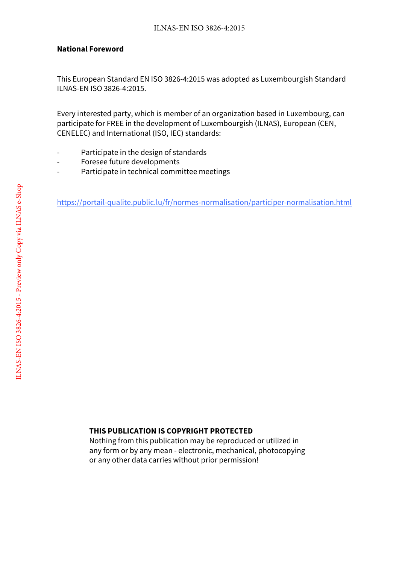### **National Foreword**

This European Standard EN ISO 3826-4:2015 was adopted as Luxembourgish Standard ILNAS-EN ISO 3826-4:2015.

Every interested party, which is member of an organization based in Luxembourg, can participate for FREE in the development of Luxembourgish (ILNAS), European (CEN, CENELEC) and International (ISO, IEC) standards:

- Participate in the design of standards
- Foresee future developments
- Participate in technical committee meetings

https://portail-qualite.public.lu/fr/normes-normalisation/participer-normalisation.html

### **THIS PUBLICATION IS COPYRIGHT PROTECTED**

Nothing from this publication may be reproduced or utilized in any form or by any mean - electronic, mechanical, photocopying or any other data carries without prior permission!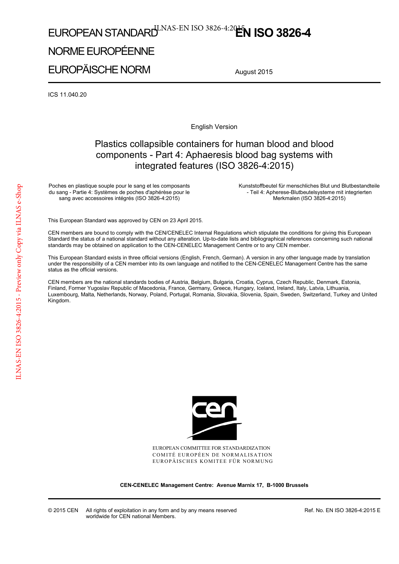# EUROPEAN STANDARD<sup>U.NAS-EN ISO 3826-4:20**EN ISO 3826-4**</sup>

# NORME EUROPÉENNE

EUROPÄISCHE NORM

August 2015

ICS 11.040.20

English Version

## Plastics collapsible containers for human blood and blood components - Part 4: Aphaeresis blood bag systems with integrated features (ISO 3826-4:2015)

Poches en plastique souple pour le sang et les composants du sang - Partie 4: Systèmes de poches d'aphérèse pour le sang avec accessoires intégrés (ISO 3826-4:2015)

 Kunststoffbeutel für menschliches Blut und Blutbestandteile - Teil 4: Apherese-Blutbeutelsysteme mit integrierten Merkmalen (ISO 3826-4:2015)

This European Standard was approved by CEN on 23 April 2015.

CEN members are bound to comply with the CEN/CENELEC Internal Regulations which stipulate the conditions for giving this European Standard the status of a national standard without any alteration. Up-to-date lists and bibliographical references concerning such national standards may be obtained on application to the CEN-CENELEC Management Centre or to any CEN member.

This European Standard exists in three official versions (English, French, German). A version in any other language made by translation under the responsibility of a CEN member into its own language and notified to the CEN-CENELEC Management Centre has the same status as the official versions.

CEN members are the national standards bodies of Austria, Belgium, Bulgaria, Croatia, Cyprus, Czech Republic, Denmark, Estonia, Finland, Former Yugoslav Republic of Macedonia, France, Germany, Greece, Hungary, Iceland, Ireland, Italy, Latvia, Lithuania, Luxembourg, Malta, Netherlands, Norway, Poland, Portugal, Romania, Slovakia, Slovenia, Spain, Sweden, Switzerland, Turkey and United Kingdom.



EUROPEAN COMMITTEE FOR STANDARDIZATION COMITÉ EUROPÉEN DE NORMALISATION EUROPÄISCHES KOMITEE FÜR NORMUNG

**CEN-CENELEC Management Centre: Avenue Marnix 17, B-1000 Brussels** 

Ref. No. EN ISO 3826-4:2015 E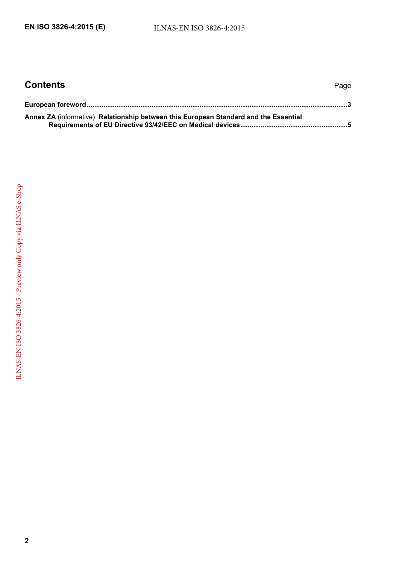| <b>Contents</b>                                                                      | Page |
|--------------------------------------------------------------------------------------|------|
|                                                                                      |      |
| Annex ZA (informative) Relationship between this European Standard and the Essential |      |
|                                                                                      |      |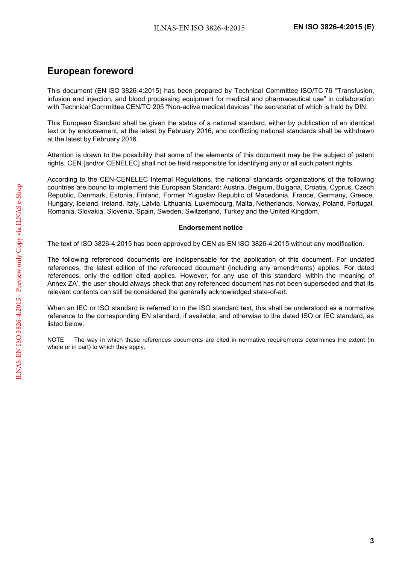### <span id="page-4-0"></span>**European foreword**

This document (EN ISO 3826-4:2015) has been prepared by Technical Committee ISO/TC 76 "Transfusion, infusion and injection, and blood processing equipment for medical and pharmaceutical use" in collaboration with Technical Committee CEN/TC 205 "Non-active medical devices" the secretariat of which is held by DIN.

This European Standard shall be given the status of a national standard, either by publication of an identical text or by endorsement, at the latest by February 2016, and conflicting national standards shall be withdrawn at the latest by February 2016.

Attention is drawn to the possibility that some of the elements of this document may be the subject of patent rights. CEN [and/or CENELEC] shall not be held responsible for identifying any or all such patent rights.

According to the CEN-CENELEC Internal Regulations, the national standards organizations of the following countries are bound to implement this European Standard: Austria, Belgium, Bulgaria, Croatia, Cyprus, Czech Republic, Denmark, Estonia, Finland, Former Yugoslav Republic of Macedonia, France, Germany, Greece, Hungary, Iceland, Ireland, Italy, Latvia, Lithuania, Luxembourg, Malta, Netherlands, Norway, Poland, Portugal, Romania, Slovakia, Slovenia, Spain, Sweden, Switzerland, Turkey and the United Kingdom.

### **Endorsement notice**

The text of ISO 3826-4:2015 has been approved by CEN as EN ISO 3826-4:2015 without any modification.

The following referenced documents are indispensable for the application of this document. For undated references, the latest edition of the referenced document (including any amendments) applies. For dated references, only the edition cited applies. However, for any use of this standard 'within the meaning of Annex ZA', the user should always check that any referenced document has not been superseded and that its relevant contents can still be considered the generally acknowledged state-of-art.

When an IEC or ISO standard is referred to in the ISO standard text, this shall be understood as a normative reference to the corresponding EN standard, if available, and otherwise to the dated ISO or IEC standard, as listed below.

NOTE The way in which these references documents are cited in normative requirements determines the extent (in whole or in part) to which they apply.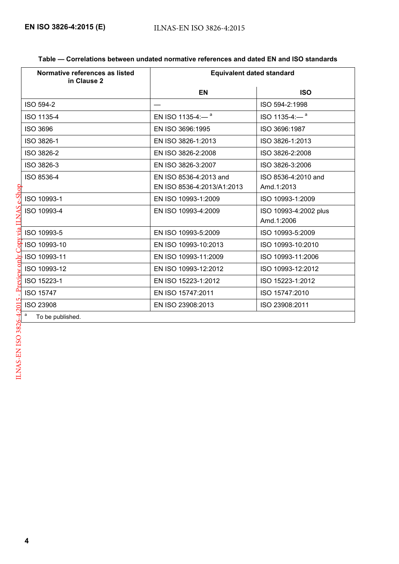| Table — Correlations between undated normative references and dated EN and ISO standards |
|------------------------------------------------------------------------------------------|
|------------------------------------------------------------------------------------------|

| Normative references as listed<br>in Clause 2 | <b>Equivalent dated standard</b> |                                |
|-----------------------------------------------|----------------------------------|--------------------------------|
|                                               | <b>EN</b>                        | <b>ISO</b>                     |
| ISO 594-2                                     |                                  | ISO 594-2:1998                 |
| ISO 1135-4                                    | EN ISO 1135-4:- $^a$             | $ISO$ 1135-4: $-$ <sup>a</sup> |
| <b>ISO 3696</b>                               | EN ISO 3696:1995                 | ISO 3696:1987                  |
| ISO 3826-1                                    | EN ISO 3826-1:2013               | ISO 3826-1:2013                |
| ISO 3826-2                                    | EN ISO 3826-2:2008               | ISO 3826-2:2008                |
| ISO 3826-3                                    | EN ISO 3826-3:2007               | ISO 3826-3:2006                |
| ISO 8536-4                                    | EN ISO 8536-4:2013 and           | ISO 8536-4:2010 and            |
|                                               | EN ISO 8536-4:2013/A1:2013       | Amd.1:2013                     |
| ISO 10993-1                                   | EN ISO 10993-1:2009              | ISO 10993-1:2009               |
| ISO 10993-4                                   | EN ISO 10993-4:2009              | ISO 10993-4:2002 plus          |
|                                               |                                  | Amd.1:2006                     |
| ISO 10993-5                                   | EN ISO 10993-5:2009              | ISO 10993-5:2009               |
| ISO 10993-10                                  | EN ISO 10993-10:2013             | ISO 10993-10:2010              |
| ISO 10993-11                                  | EN ISO 10993-11:2009             | ISO 10993-11:2006              |
| ISO 10993-12                                  | EN ISO 10993-12:2012             | ISO 10993-12:2012              |
| ISO 15223-1                                   | EN ISO 15223-1:2012              | ISO 15223-1:2012               |
| <b>ISO 15747</b>                              | EN ISO 15747:2011                | ISO 15747:2010                 |
| <b>ISO 23908</b>                              | EN ISO 23908:2013                | ISO 23908:2011                 |
| a<br>To be published.                         |                                  |                                |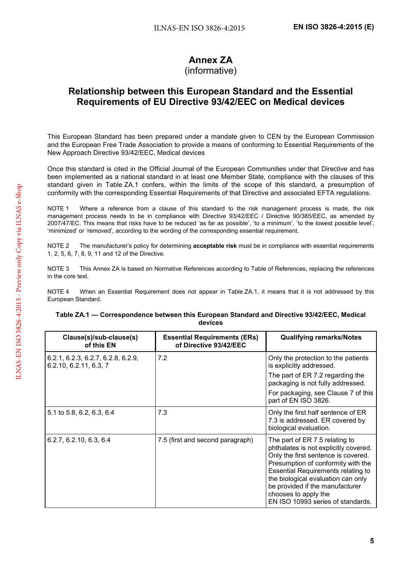# **Annex ZA**

### (informative)

### <span id="page-6-0"></span>**Relationship between this European Standard and the Essential Requirements of EU Directive 93/42/EEC on Medical devices**

This European Standard has been prepared under a mandate given to CEN by the European Commission and the European Free Trade Association to provide a means of conforming to Essential Requirements of the New Approach Directive 93/42/EEC, Medical devices

Once this standard is cited in the Official Journal of the European Communities under that Directive and has been implemented as a national standard in at least one Member State, compliance with the clauses of this standard given in Table ZA.1 confers, within the limits of the scope of this standard, a presumption of conformity with the corresponding Essential Requirements of that Directive and associated EFTA regulations.

NOTE 1 Where a reference from a clause of this standard to the risk management process is made, the risk management process needs to be in compliance with Directive 93/42/EEC / Directive 90/385/EEC, as amended by 2007/47/EC. This means that risks have to be reduced 'as far as possible', 'to a minimum', 'to the lowest possible level', 'minimized' or 'removed', according to the wording of the corresponding essential requirement.

NOTE 2 The manufacturer's policy for determining **acceptable risk** must be in compliance with essential requirements 1, 2, 5, 6, 7, 8, 9, 11 and 12 of the Directive.

NOTE 3 This Annex ZA is based on Normative References according to Table of References, replacing the references in the core text.

NOTE 4 When an Essential Requirement does not appear in Table ZA.1, it means that it is not addressed by this European Standard.

| Clause(s)/sub-clause(s)<br>of this EN                        | <b>Essential Requirements (ERs)</b><br>of Directive 93/42/EEC | <b>Qualifying remarks/Notes</b>                                                                                                                                                                                                                                                                                                         |
|--------------------------------------------------------------|---------------------------------------------------------------|-----------------------------------------------------------------------------------------------------------------------------------------------------------------------------------------------------------------------------------------------------------------------------------------------------------------------------------------|
| 6.2.1, 6.2.3, 6.2.7, 6.2.8, 6.2.9,<br>6.2.10, 6.2.11, 6.3, 7 | 7.2                                                           | Only the protection to the patients<br>is explicitly addressed.<br>The part of ER 7.2 regarding the<br>packaging is not fully addressed.<br>For packaging, see Clause 7 of this<br>part of EN ISO 3826.                                                                                                                                 |
| 5.1 to 5.8, 6.2, 6.3, 6.4                                    | 7.3                                                           | Only the first half sentence of ER<br>7.3 is addressed. ER covered by<br>biological evaluation.                                                                                                                                                                                                                                         |
| 6.2.7, 6.2.10, 6.3, 6.4                                      | 7.5 (first and second paragraph)                              | The part of ER 7.5 relating to<br>phthalates is not explicitly covered.<br>Only the first sentence is covered.<br>Presumption of conformity with the<br><b>Essential Requirements relating to</b><br>the biological evaluation can only<br>be provided if the manufacturer<br>chooses to apply the<br>EN ISO 10993 series of standards. |

### **Table ZA.1 — Correspondence between this European Standard and Directive 93/42/EEC, Medical devices**